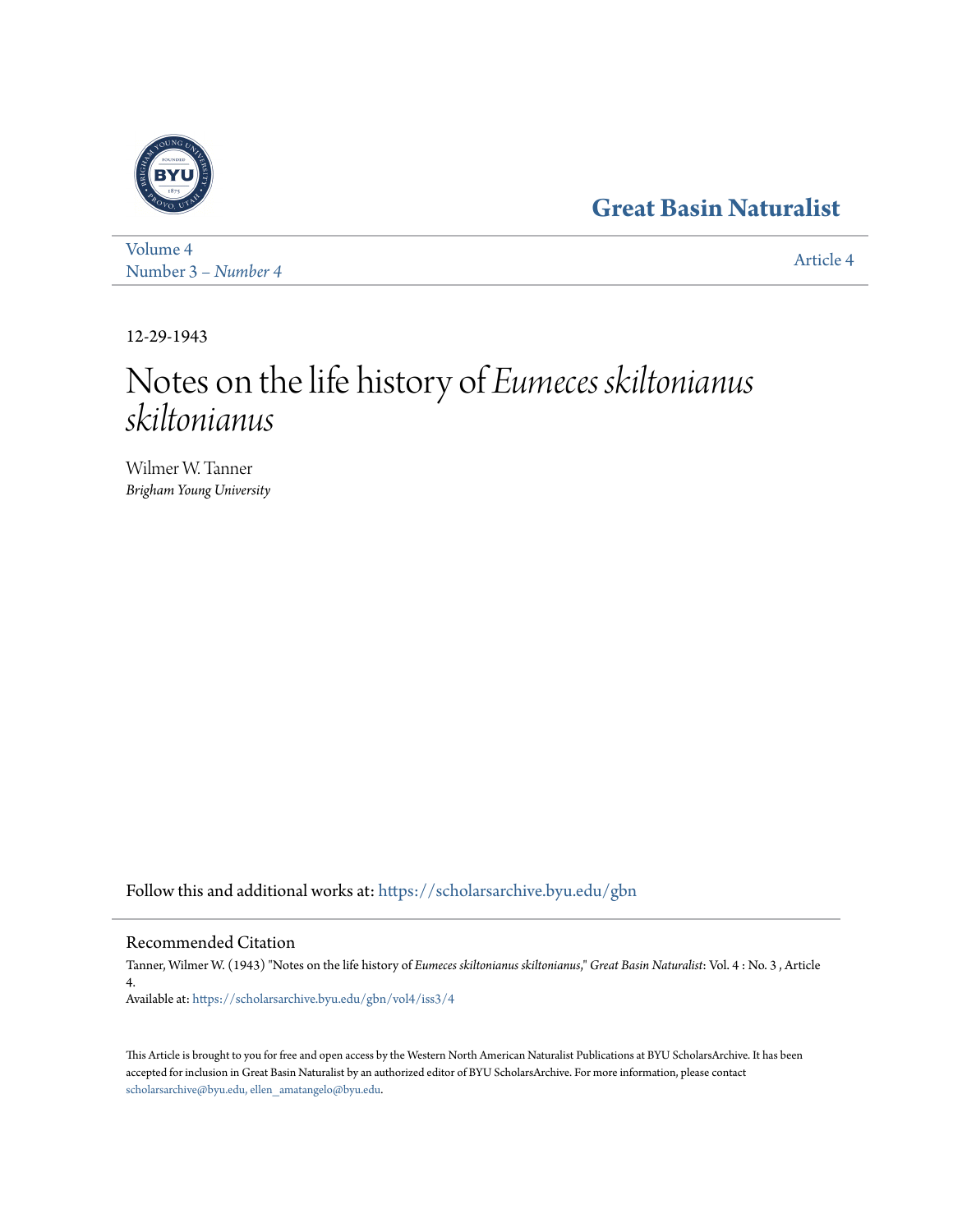# **[Great Basin Naturalist](https://scholarsarchive.byu.edu/gbn?utm_source=scholarsarchive.byu.edu%2Fgbn%2Fvol4%2Fiss3%2F4&utm_medium=PDF&utm_campaign=PDFCoverPages)**



[Volume 4](https://scholarsarchive.byu.edu/gbn/vol4?utm_source=scholarsarchive.byu.edu%2Fgbn%2Fvol4%2Fiss3%2F4&utm_medium=PDF&utm_campaign=PDFCoverPages) Number 3 *[– Number 4](https://scholarsarchive.byu.edu/gbn/vol4/iss3?utm_source=scholarsarchive.byu.edu%2Fgbn%2Fvol4%2Fiss3%2F4&utm_medium=PDF&utm_campaign=PDFCoverPages)* [Article 4](https://scholarsarchive.byu.edu/gbn/vol4/iss3/4?utm_source=scholarsarchive.byu.edu%2Fgbn%2Fvol4%2Fiss3%2F4&utm_medium=PDF&utm_campaign=PDFCoverPages)

12-29-1943

# Notes on the life history of *Eumeces skiltonianus skiltonianus*

Wilmer W. Tanner *Brigham Young University*

Follow this and additional works at: [https://scholarsarchive.byu.edu/gbn](https://scholarsarchive.byu.edu/gbn?utm_source=scholarsarchive.byu.edu%2Fgbn%2Fvol4%2Fiss3%2F4&utm_medium=PDF&utm_campaign=PDFCoverPages)

### Recommended Citation

Tanner, Wilmer W. (1943) "Notes on the life history of *Eumeces skiltonianus skiltonianus*," *Great Basin Naturalist*: Vol. 4 : No. 3 , Article 4.

Available at: [https://scholarsarchive.byu.edu/gbn/vol4/iss3/4](https://scholarsarchive.byu.edu/gbn/vol4/iss3/4?utm_source=scholarsarchive.byu.edu%2Fgbn%2Fvol4%2Fiss3%2F4&utm_medium=PDF&utm_campaign=PDFCoverPages)

This Article is brought to you for free and open access by the Western North American Naturalist Publications at BYU ScholarsArchive. It has been accepted for inclusion in Great Basin Naturalist by an authorized editor of BYU ScholarsArchive. For more information, please contact [scholarsarchive@byu.edu, ellen\\_amatangelo@byu.edu.](mailto:scholarsarchive@byu.edu,%20ellen_amatangelo@byu.edu)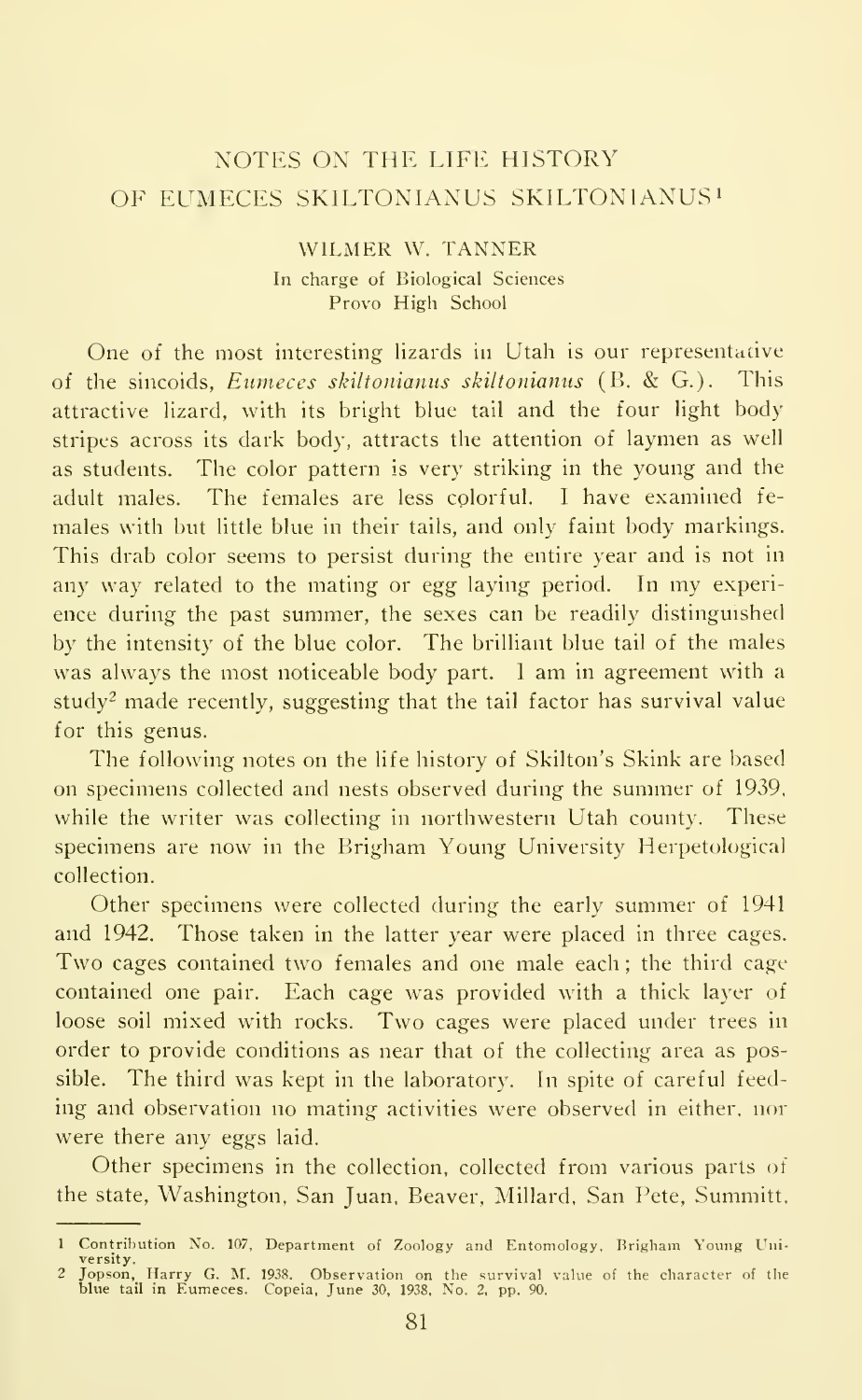## NOTES ON THE LIFE HISTORY OF EUMECES SKILTONIANUS SKILTONIANUS<sup>1</sup>

#### WILMER W. TANNER In charge of Biological Sciences Provo High School

One of the most interesting lizards in Utah is our representative<br>the sincoids. *Eumeces skiltonianus skiltonianus* (B. & G.). This of the sincoids, Eumeces skiltonianus skiltonianus (B. & G.). attractive lizard, with its bright blue tail and the four light body stripes across its dark body, attracts the attention of laymen as well as students. The color pattern is very striking in the young and the adult males. The females are less colorful. I have examined females with hut little blue in their tails, and only faint body markings. This drab color seems to persist during the entire year and is not in any way related to the mating or egg laying period. In my experience during the past summer, the sexes can be readily distinguished by the intensity of the blue color. The brilliant blue tail of the males was always the most noticeable body part. <sup>I</sup> am in agreement with <sup>a</sup> study<sup>2</sup> made recently, suggesting that the tail factor has survival value for this genus.

The following notes on the life history of Skilton's Skink are based on specimens collected and nests observed during the summer of 1939, while the writer was collecting in northwestern Utah county. These specimens are now in the Brigham Young University Herpetological collection.

Other specimens were collected during the early summer of 1941 and 1942. Those taken in the latter year were placed in three cages. Two cages contained two females and one male each ; the third cage contained one pair. Each cage was provided with a thick layer of loose soil mixed with rocks. Two cages were placed under trees in order to provide conditions as near that of the collecting area as possible. The third was kept in the laboratory. In spite of careful feed ing and observation no mating activities were observed in either, nor were there any eggs laid.

Other specimens in the collection, collected from various parts oi the state, Washington. San Juan. Beaver, Millard, San Pete, Summitt,

<sup>1</sup> Contribution No. 107, Department of Zoology and Entomology, Brigham Young Uni-

versity. <sup>2</sup> Jopson, Harry G. M. 1938. Observation on the survival value of the character of the blue tail in Eumeces. Copeia, June 30, 1938, No. 2, pp. 90.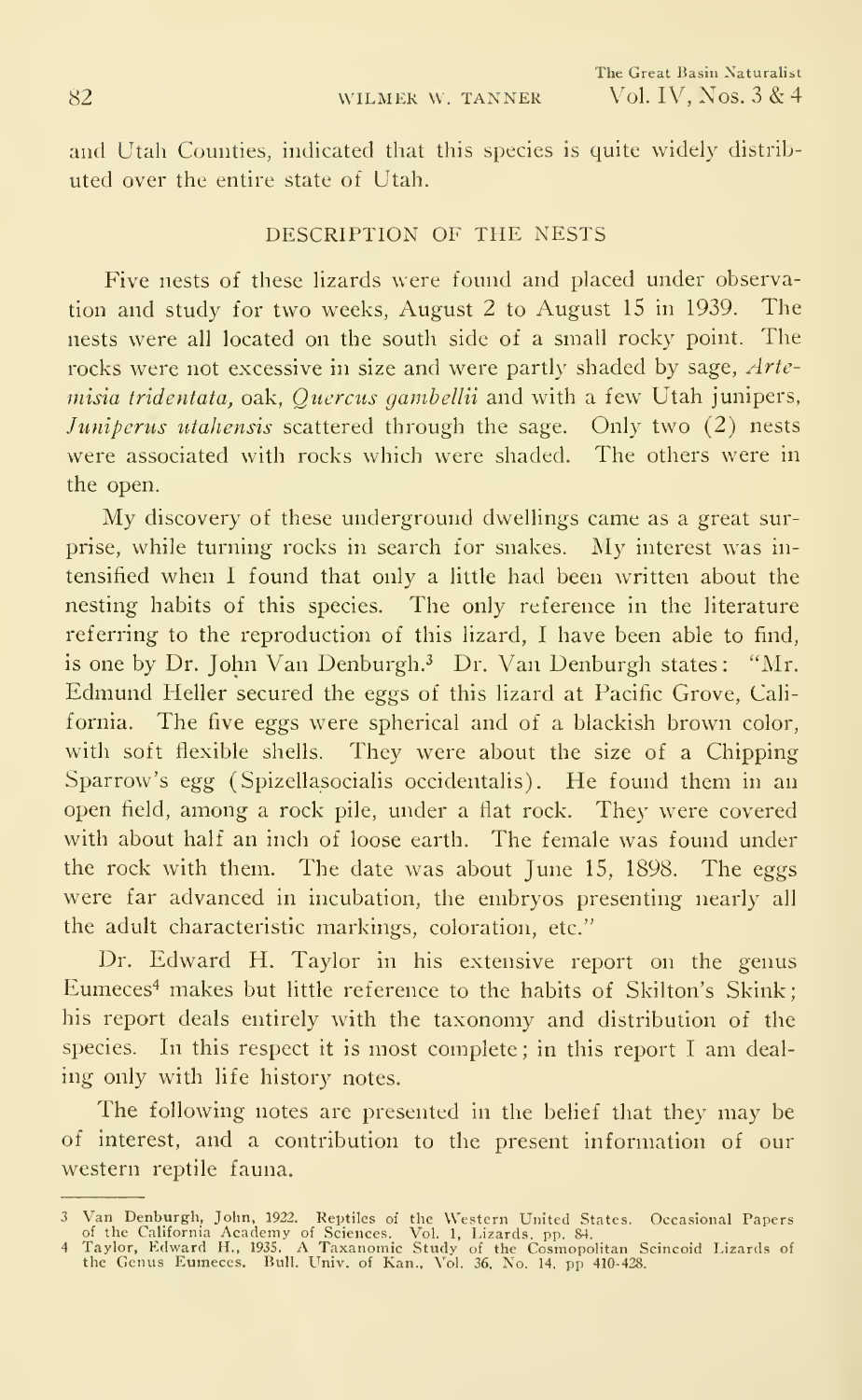and Utah Counties, indicated that this species is quite widely distrib uted over the entire state of Utah.

#### DESCRIPTION OF THE NESTS

Five nests of these hzards were found and placed under observation and study for two weeks, August 2 to August <sup>15</sup> in 1939. The nests were all located on the south side of a small rocky point. The rocks were not excessive in size and were partly shaded by sage, Artemisia tridentata, oak, Quercus gambellii and with a few Utah junipers, Juniperus utahensis scattered through the sage. Only two (2) nests were associated with rocks which were shaded. The others were in the open.

My discovery of these underground dwellings came as <sup>a</sup> great surprise, while turning rocks in search for snakes. My interest was in tensified when <sup>I</sup> found that only a little had been written about the nesting habits of this species. The only reference in the literature referring to the reproduction of this lizard, <sup>I</sup> have been able to find, is one by Dr. John Van Denburgh.<sup>3</sup> Dr. Van Denburgh states: "Mr. Edmund Heller secured the eggs of this lizard at Pacific Grove, California. The five eggs were spherical and of a blackish brown color, with soft flexible shells. They were about the size of a Chipping Sparrow's egg (Spizellasocialis occidentalis). He found them in an open field, among a rock pile, under a flat rock. They were covered with about half an inch of loose earth. The female was found under the rock with them. The date was about June 15, 1898. The eggs were far advanced in incubation, the embryos presenting nearly all the adult characteristic markings, coloration, etc."

Dr. Edward H. Taylor in his extensive report on the genus Eumeces<sup>4</sup> makes but little reference to the habits of Skilton's Skink; his report deals entirely with the taxonomy and distribution of the species. In this respect it is most complete ; in this report <sup>I</sup> am deal ing only with life history notes.

The following notes are presented in the belief that they may be of interest, and a contribution to the present information of our western reptile fauna.

<sup>3</sup> Van Denburgh, John, 1922. Reptiles of the Western United States. Occasional Papers<br>of the California Academy of Sciences. Vol. 1, Lizards. pp. 84.<br>4 Taylor, Edward H., 1935. A Taxanomic Study of the Cosmopolitan Scincoid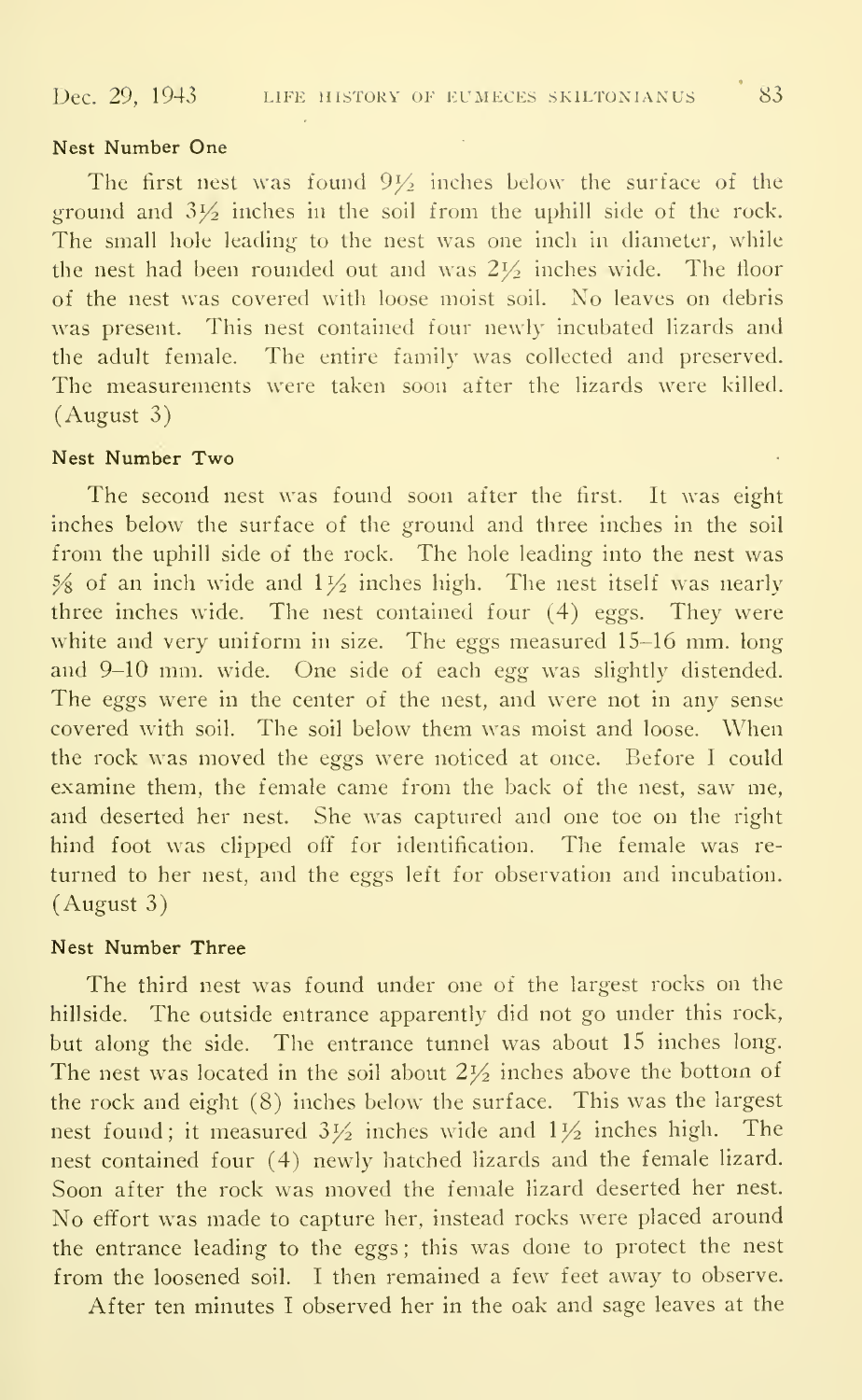#### Nest Number One

The first nest was found  $9\frac{1}{2}$  inches below the surface of the ground and  $3\frac{1}{2}$  inches in the soil from the uphill side of the rock. The small hole leading to the nest was one inch in diameter, while the nest had been rounded out and was  $2\frac{1}{2}$  inches wide. The floor of the nest was covered with loose moist soil. No leaves on debris was present. This nest contained four newly incubated lizards and the adult female. The entire family was collected and preserved. The measurements were taken soon after the lizards were killed. (August 3)

#### Nest Number Two

The second nest was found soon after the first. It was eight inches below the surface of the ground and three inches in the soil from the uphill side of the rock. The hole leading into the nest was  $\frac{5}{8}$  of an inch wide and  $1\frac{1}{2}$  inches high. The nest itself was nearly three inches wide. The nest contained four (4) eggs. They were white and very uniform in size. The eggs measured 15-16 mm. long and 9-10 mm. wide. One side of each egg was slightly distended. The eggs were in the center of the nest, and were not in any sense covered with soil. The soil below them was moist and loose. When the rock was moved the eggs were noticed at once. Before <sup>I</sup> could examine them, the female came from the back of the nest, saw me, and deserted her nest. She was captured and one toe on the right hind foot was clipped off for identification. The female was re turned to her nest, and the eggs left for observation and incubation. (August 3)

#### Nest Number Three

The third nest was found under one of the largest rocks on the hillside. The outside entrance apparently did not go under this rock, but along the side. The entrance tunnel was about 15 inches long. The nest was located in the soil about  $2\frac{1}{2}$  inches above the bottom of the rock and eight (8) inches below the surface. This was the largest nest found; it measured  $3\frac{1}{2}$  inches wide and  $1\frac{1}{2}$  inches high. The nest contained four (4) newly hatched lizards and the female lizard. Soon after the rock was moved the female lizard deserted her nest. No effort was made to capture her, instead rocks were placed around the entrance leading to the eggs: this was done to protect the nest from the loosened soil. <sup>I</sup> then remained a few feet away to observe.

After ten minutes <sup>I</sup> observed her in the oak and sage leaves at the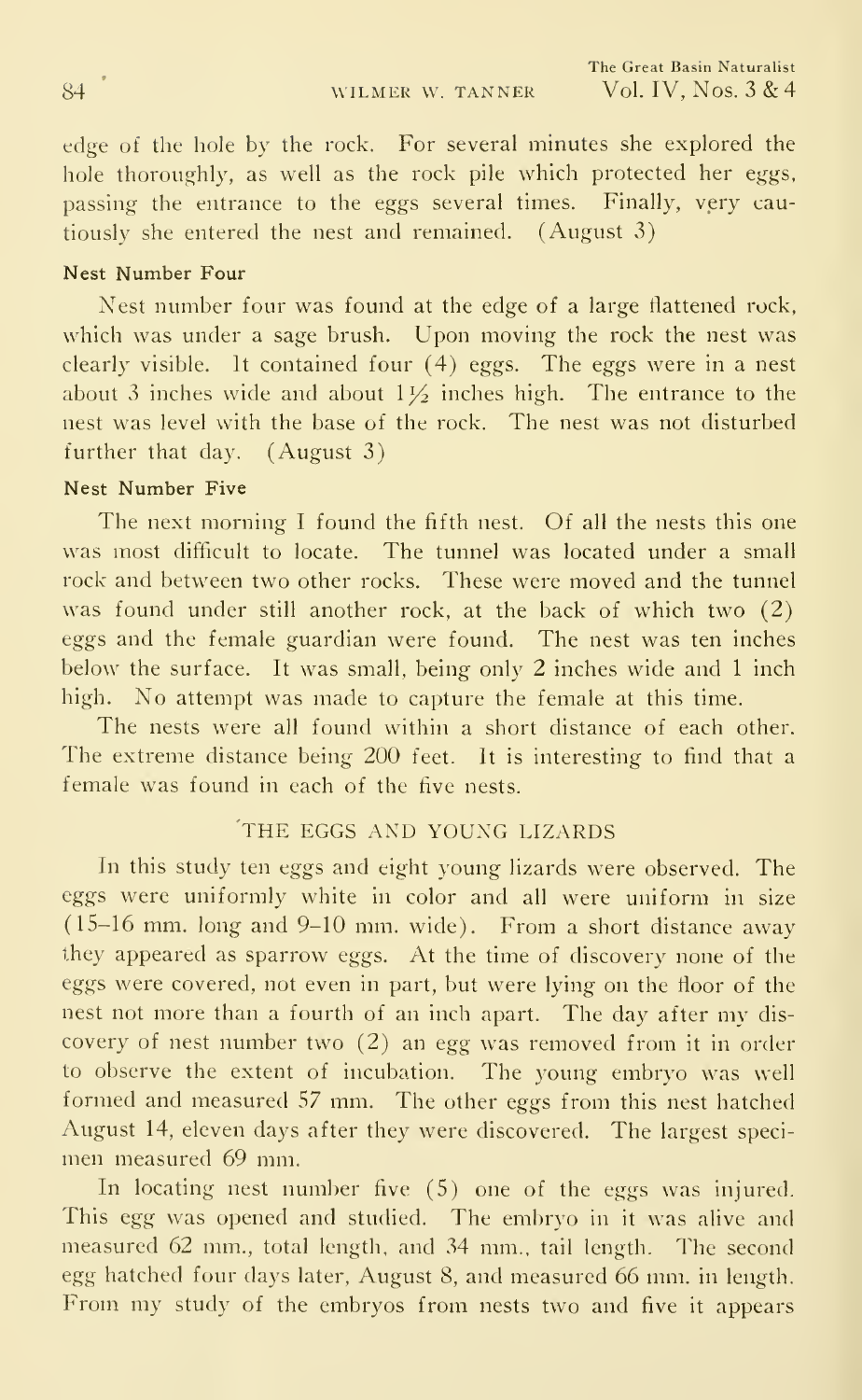edge of the hole by the rock. For several minutes she explored the hole thoroughly, as well as the rock pile which protected her eggs, passing the entrance to the eggs several times. Finally, very cautiously she entered the nest and remained. (August 3)

#### Nest Number Four

Nest number four was found at the edge of a large flattened rock, which was under a sage brush. Upon moving the rock the nest was clearly visible. It contained four (4) eggs. The eggs were in a nest about 3 inches wide and about  $1\frac{1}{2}$  inches high. The entrance to the nest was level with the base of the rock. The nest was not disturbed further that day. (August 3)

#### Nest Number Five

The next morning I found the fifth nest. Of all the nests this one was most difficult to locate. The tunnel was located under a small rock and between two other rocks. These were moved and the tunnel was found under still another rock, at the back of which two (2) eggs and the female guardian were found. The nest was ten inches below the surface. It was small, being only 2 inches wide and <sup>1</sup> inch high. No attempt was made to capture the female at this time.

The nests were all found within a short distance of each other. The extreme distance being 200 feet. It is interesting to find that a female was found in each of the five nests.

#### THE EGGS AND YOUNG LIZARDS

In this study ten eggs and eight young lizards were observed. The eggs were uniformly white in color and all were uniform in size (15-16 mm. long and 9-10 mm. wide). From <sup>a</sup> short distance away they appeared as sparrow eggs. At the time of discovery none of the eggs were covered, not even in part, but were lying on the floor of the nest not more than <sup>a</sup> fourth of an inch apart. The day after my dis covery of nest number two (2) an egg was removed from it in order to observe the extent of incubation. The young embryo was well formed and measured 57 mm. The other eggs from this nest hatched August 14, eleven days after they were discovered. The largest speci men measured 69 mm.

In locating nest number five (5) one of the eggs was injured. This egg was opened and studied. The embryo in it was alive and measured 62 mm., total length, and 34 mm., tail length. The second egg hatched four days later, August 8, and measured 66 mm. in length. From my study of the embryos from nests two and five it appears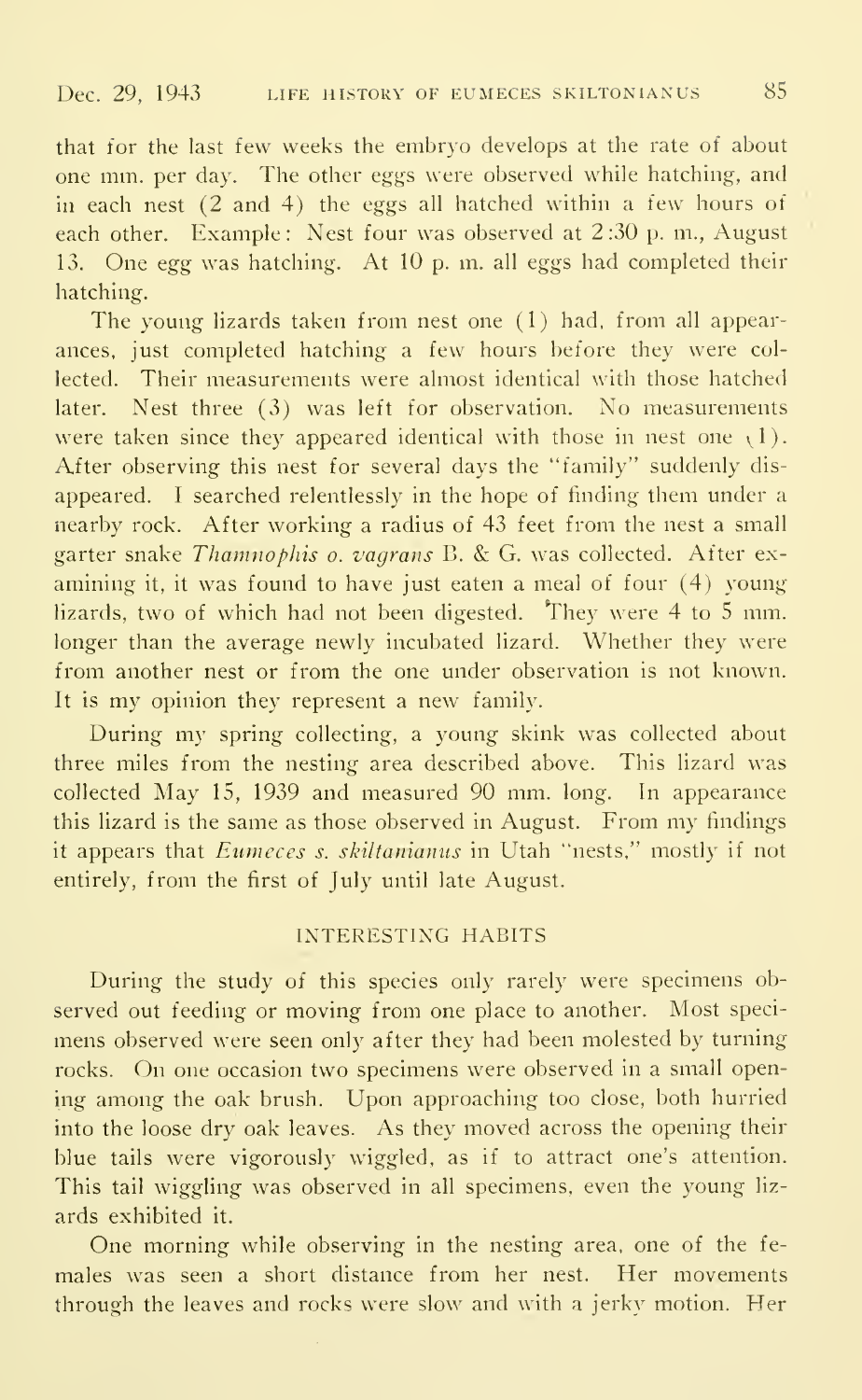that for the last few weeks the embryo develops at the rate of about one mm. per day. The other eggs were observed while hatching, and in each nest (2 and 4) the eggs all hatched within a few hours of each other. Example: Nest four was observed at 2:30 p.m., August 13. One egg was hatching. At 10 p. m. all eggs had completed their hatching.

The young lizards taken from nest one (1) had, from all appearances, just completed hatching a few hours before they were collected. Their measurements were almost identical with those hatched later. Nest three (3) was left for observation. No measurements were taken since they appeared identical with those in nest one  $(1)$ . After observing this nest for several days the "family" suddenly dis appeared. <sup>I</sup> searched relentlessly in the hope of finding them under a nearby rock. After working a radius of 43 feet from the nest a small garter snake Thamnophis o. vagrans B. & G. was collected. After examining it, it was found to have just eaten a meal of four (4) young lizards, two of which had not been digested. They were  $4$  to  $5$  mm. longer than the average newly incubated lizard. Whether they were from another nest or from the one under observation is not known. It is my opinion they represent <sup>a</sup> new family.

During my spring collecting, <sup>a</sup> young skink was collected about three miles from the nesting area described above. This lizard was collected May 15, 1939 and measured 90 mm. long. In appearance this lizard is the same as those observed in August. From my findings it appears that Eumeces s. skiltanianus in Utah "nests," mostly if not entirely, from the first of July until late August.

#### INTERESTING HABITS

During the study of this species only rarely were specimens observed out feeding or moving from one place to another. Most speci mens observed were seen only after they had been molested by turning rocks. On one occasion two specimens were observed in <sup>a</sup> small opening among the oak brush. Upon approaching too close, both hurried into the loose dry oak leaves. As they moved across the opening their blue tails were vigorously wiggled, as if to attract one's attention. This tail wiggling was observed in all specimens, even the young lizards exhibited it.

One morning while observing in the nesting area, one of the fe males was seen a short distance from her nest. Her movements through the leaves and rocks were slow and with a jerky motion. Her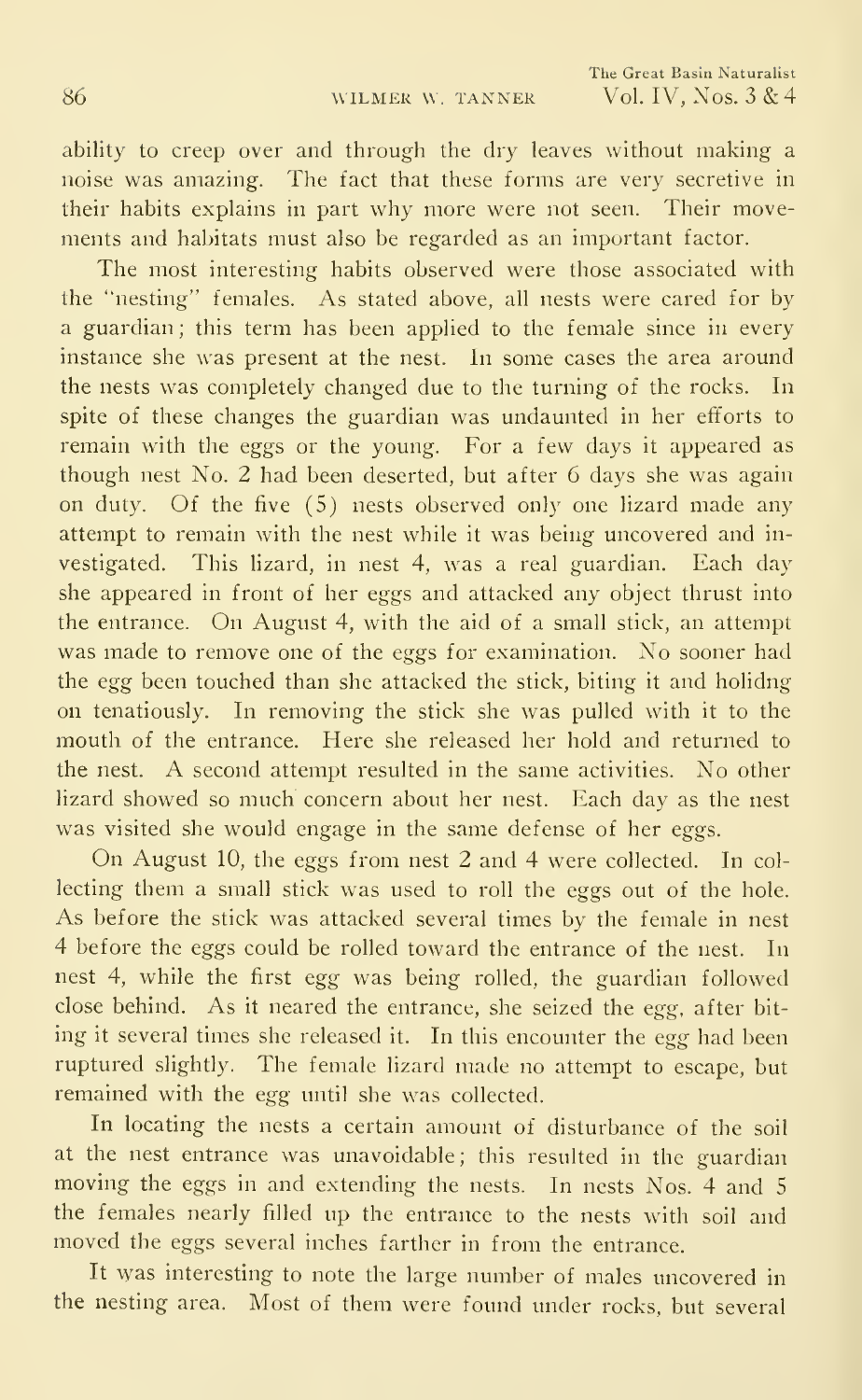ability to creep over and through the dry leaves without making a noise was amazing. The fact that these forms are very secretive in their habits explains in part why more were not seen. Their movements and habitats must also be regarded as an important factor.

The most interesting habits observed were those associated with the "nesting" females. As stated above, all nests were cared for by a guardian; this term has been applied to the female since in every instance she was present at the nest. In some cases the area around the nests was completely changed due to the turning of the rocks. In spite of these changes the guardian was undaunted in her efforts to remain with the eggs or the young. For a few days it appeared as though nest No. 2 had been deserted, but after 6 days she was again on duty. Of the five (5) nests observed only one lizard made any attempt to remain with the nest while it was being uncovered and in vestigated. This lizard, in nest 4, was a real guardian. Each day she appeared in front of her eggs and attacked any object thrust into the entrance. On August 4, with the aid of a small stick, an attempt was made to remove one of the eggs for examination. No sooner had the egg been touched than she attacked the stick, biting it and holidng on tenatiously. In removing the stick she was pulled with it to the mouth of the entrance. Here she released her hold and returned to the nest. A second attempt resulted in the same activities. No other lizard showed so much concern about her nest. Each day as the nest was visited she would engage in the same defense of her eggs.

On August 10, the eggs from nest <sup>2</sup> and 4 were collected. In col lecting them a small stick was used to roll the eggs out of the hole. As before the stick was attacked several times by the female in nest 4 before the eggs could be rolled toward the entrance of the nest. In nest 4, while the first egg was being rolled, the guardian followed close behind. As it neared the entrance, she seized the egg, after bit ing it several times she released it. In this encounter the egg had been ruptured slightly. The female lizard made no attempt to escape, but remained with the egg until she was collected.

In locating the nests a certain amount of disturbance of the soil at the nest entrance was unavoidable; this resulted in the guardian moving the eggs in and extending the nests. In nests Nos. 4 and <sup>5</sup> the females nearly filled up the entrance to the nests with soil and moved the eggs several inches farther in from the entrance.

It was interesting to note the large number of males uncovered in the nesting area. Most of them were found under rocks, but several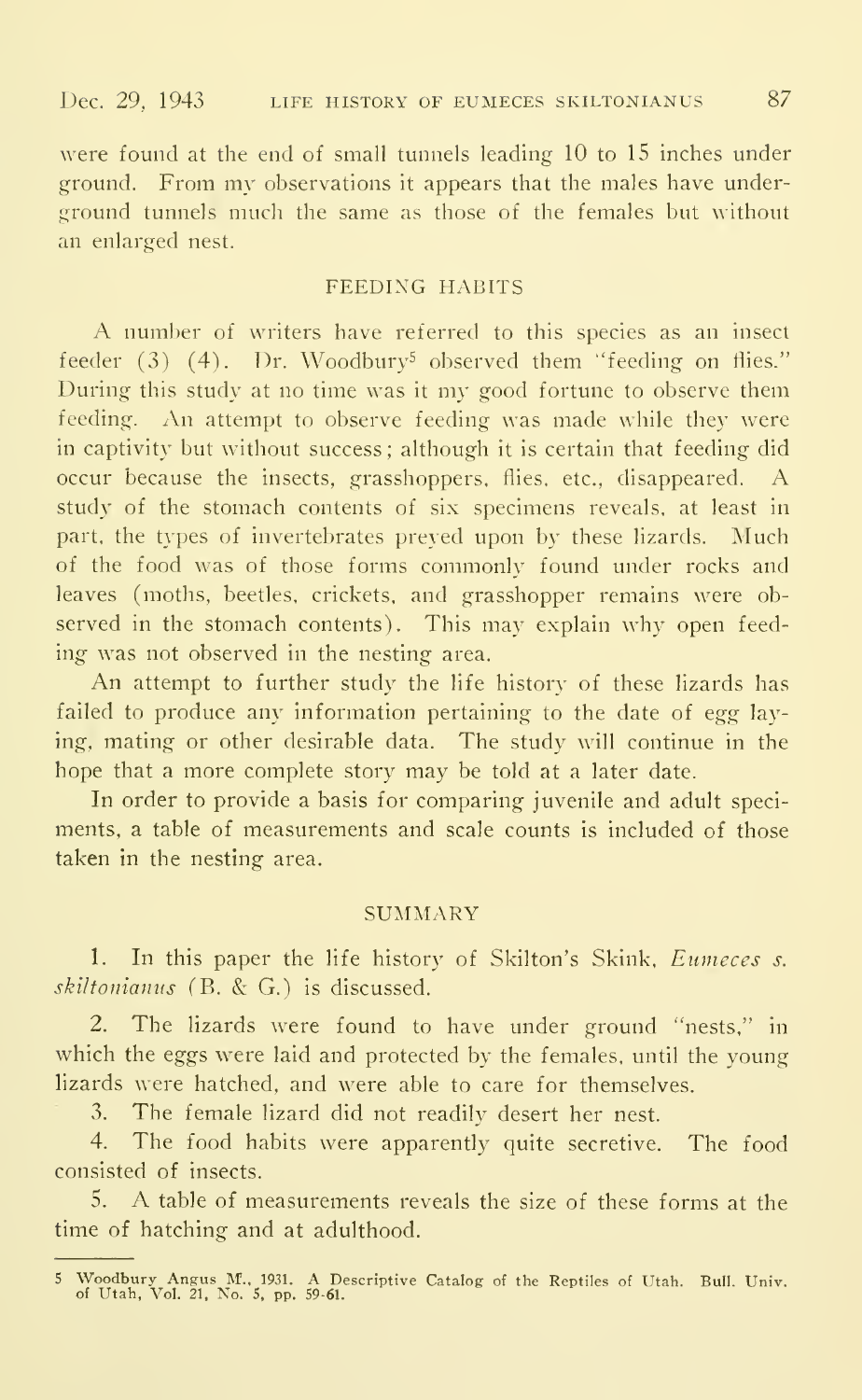were found at the end of small tunnels leading 10 to 15 inches under ground. From my observations it appears that the males have underground tunnels much the same as those of the females but without an enlarged nest.

#### FEEDING HABITS

A number of writers have referred to this species as an insect feeder  $(3)$   $(4)$ . Dr. Woodbury<sup>5</sup> observed them "feeding on flies." During this study at no time was it my good fortune to observe them feeding. An attempt to observe feeding was made while they were in captivity but without success ; although it is certain that feeding did occur because the insects, grasshoppers, flies, etc.. disappeared. A study of the stomach contents of six specimens reveals, at least in part, the types of invertebrates preyed upon by these lizards. Much of the food was of those forms commonly found under rocks and leaves (moths, beetles, crickets, and grasshopper remains were observed in the stomach contents). This may explain why open feeding was not observed in the nesting area.

An attempt to further study the life history of these lizards has failed to produce any information pertaining to the date of egg laying, mating or other desirable data. The study will continue in the hope that a more complete story may be told at <sup>a</sup> later date.

In order to provide a basis for comparing juvenile and adult speciments. a table of measurements and scale counts is included of those taken in the nesting area.

#### **SUMMARY**

1. In this paper the life history of Skilton's Skink, Eumeces s. skiltonianus (B. & G.) is discussed.

2. The lizards were found to have under ground "nests," in which the eggs were laid and protected by the females, until the young lizards were hatched, and were able to care for themselves.

3. The female lizard did not readily desert her nest.

4. The food habits were apparently quite secretive. The food consisted of insects.

5. A table of measurements reveals the size of these forms at the time of hatching and at adulthood.

<sup>5</sup> Woodbury Angus M., 1931. A Descriptive Catalog of the Reptiles of Utah. Bull. Univ.<br>of Utah, Vol. 21, No. 5, pp. 59-61.